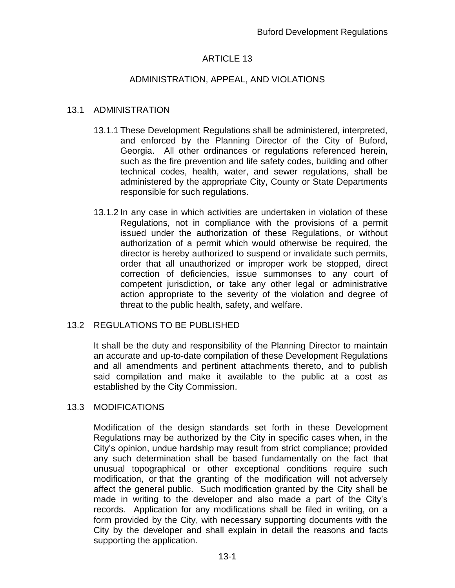## ARTICLE 13

### ADMINISTRATION, APPEAL, AND VIOLATIONS

### 13.1 ADMINISTRATION

- 13.1.1 These Development Regulations shall be administered, interpreted, and enforced by the Planning Director of the City of Buford, Georgia. All other ordinances or regulations referenced herein, such as the fire prevention and life safety codes, building and other technical codes, health, water, and sewer regulations, shall be administered by the appropriate City, County or State Departments responsible for such regulations.
- 13.1.2 In any case in which activities are undertaken in violation of these Regulations, not in compliance with the provisions of a permit issued under the authorization of these Regulations, or without authorization of a permit which would otherwise be required, the director is hereby authorized to suspend or invalidate such permits, order that all unauthorized or improper work be stopped, direct correction of deficiencies, issue summonses to any court of competent jurisdiction, or take any other legal or administrative action appropriate to the severity of the violation and degree of threat to the public health, safety, and welfare.

#### 13.2 REGULATIONS TO BE PUBLISHED

It shall be the duty and responsibility of the Planning Director to maintain an accurate and up-to-date compilation of these Development Regulations and all amendments and pertinent attachments thereto, and to publish said compilation and make it available to the public at a cost as established by the City Commission.

#### 13.3 MODIFICATIONS

Modification of the design standards set forth in these Development Regulations may be authorized by the City in specific cases when, in the City's opinion, undue hardship may result from strict compliance; provided any such determination shall be based fundamentally on the fact that unusual topographical or other exceptional conditions require such modification, or that the granting of the modification will not adversely affect the general public. Such modification granted by the City shall be made in writing to the developer and also made a part of the City's records. Application for any modifications shall be filed in writing, on a form provided by the City, with necessary supporting documents with the City by the developer and shall explain in detail the reasons and facts supporting the application.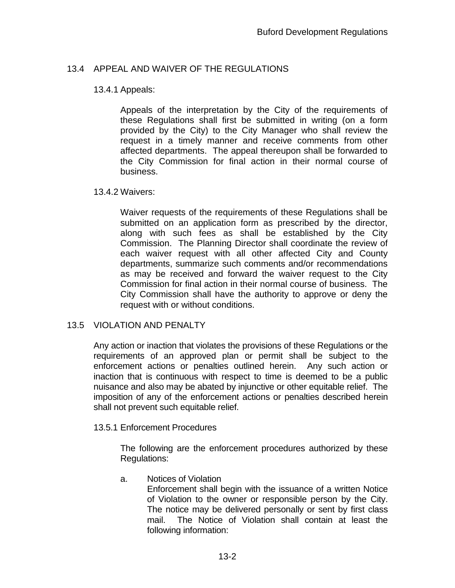# 13.4 APPEAL AND WAIVER OF THE REGULATIONS

### 13.4.1 Appeals:

Appeals of the interpretation by the City of the requirements of these Regulations shall first be submitted in writing (on a form provided by the City) to the City Manager who shall review the request in a timely manner and receive comments from other affected departments. The appeal thereupon shall be forwarded to the City Commission for final action in their normal course of business.

### 13.4.2 Waivers:

Waiver requests of the requirements of these Regulations shall be submitted on an application form as prescribed by the director, along with such fees as shall be established by the City Commission. The Planning Director shall coordinate the review of each waiver request with all other affected City and County departments, summarize such comments and/or recommendations as may be received and forward the waiver request to the City Commission for final action in their normal course of business. The City Commission shall have the authority to approve or deny the request with or without conditions.

## 13.5 VIOLATION AND PENALTY

Any action or inaction that violates the provisions of these Regulations or the requirements of an approved plan or permit shall be subject to the enforcement actions or penalties outlined herein. Any such action or inaction that is continuous with respect to time is deemed to be a public nuisance and also may be abated by injunctive or other equitable relief. The imposition of any of the enforcement actions or penalties described herein shall not prevent such equitable relief.

#### 13.5.1 Enforcement Procedures

The following are the enforcement procedures authorized by these Regulations:

## a. Notices of Violation

Enforcement shall begin with the issuance of a written Notice of Violation to the owner or responsible person by the City. The notice may be delivered personally or sent by first class mail. The Notice of Violation shall contain at least the following information: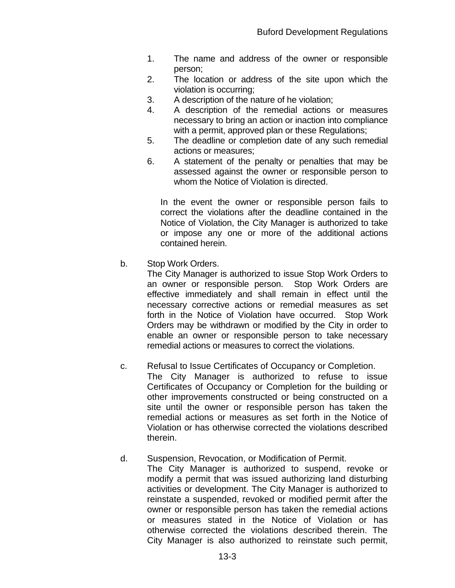- 1. The name and address of the owner or responsible person;
- 2. The location or address of the site upon which the violation is occurring;
- 3. A description of the nature of he violation;
- 4. A description of the remedial actions or measures necessary to bring an action or inaction into compliance with a permit, approved plan or these Regulations;
- 5. The deadline or completion date of any such remedial actions or measures;
- 6. A statement of the penalty or penalties that may be assessed against the owner or responsible person to whom the Notice of Violation is directed.

In the event the owner or responsible person fails to correct the violations after the deadline contained in the Notice of Violation, the City Manager is authorized to take or impose any one or more of the additional actions contained herein.

b. Stop Work Orders.

The City Manager is authorized to issue Stop Work Orders to an owner or responsible person. Stop Work Orders are effective immediately and shall remain in effect until the necessary corrective actions or remedial measures as set forth in the Notice of Violation have occurred. Stop Work Orders may be withdrawn or modified by the City in order to enable an owner or responsible person to take necessary remedial actions or measures to correct the violations.

c. Refusal to Issue Certificates of Occupancy or Completion.

The City Manager is authorized to refuse to issue Certificates of Occupancy or Completion for the building or other improvements constructed or being constructed on a site until the owner or responsible person has taken the remedial actions or measures as set forth in the Notice of Violation or has otherwise corrected the violations described therein.

# d. Suspension, Revocation, or Modification of Permit.

The City Manager is authorized to suspend, revoke or modify a permit that was issued authorizing land disturbing activities or development. The City Manager is authorized to reinstate a suspended, revoked or modified permit after the owner or responsible person has taken the remedial actions or measures stated in the Notice of Violation or has otherwise corrected the violations described therein. The City Manager is also authorized to reinstate such permit,